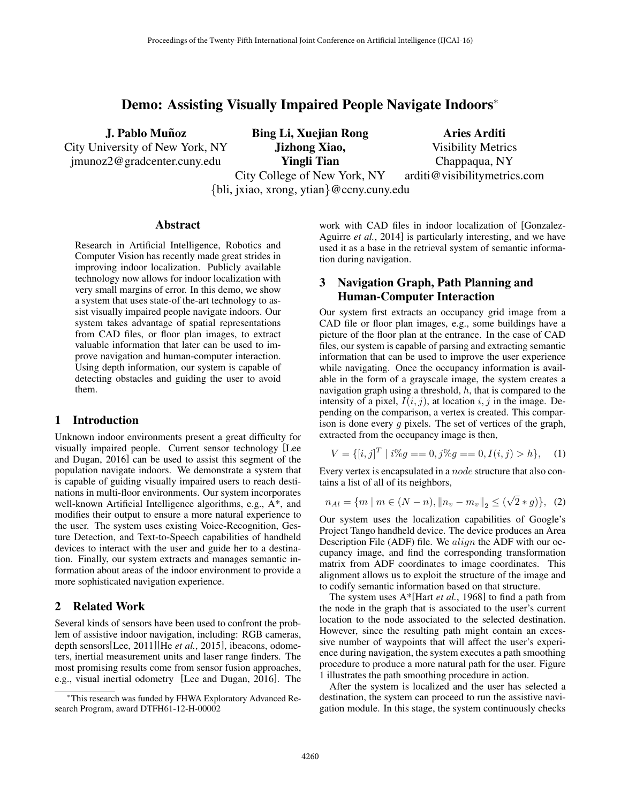# Demo: Assisting Visually Impaired People Navigate Indoors<sup>\*</sup>

J. Pablo Muñoz City University of New York, NY

jmunoz2@gradcenter.cuny.edu

Bing Li, Xuejian Rong Jizhong Xiao, Yingli Tian City College of New York, NY *{*bli, jxiao, xrong, ytian*}*@ccny.cuny.edu

Aries Arditi Visibility Metrics Chappaqua, NY arditi@visibilitymetrics.com

Abstract

Research in Artificial Intelligence, Robotics and Computer Vision has recently made great strides in improving indoor localization. Publicly available technology now allows for indoor localization with very small margins of error. In this demo, we show a system that uses state-of the-art technology to assist visually impaired people navigate indoors. Our system takes advantage of spatial representations from CAD files, or floor plan images, to extract valuable information that later can be used to improve navigation and human-computer interaction. Using depth information, our system is capable of detecting obstacles and guiding the user to avoid them.

#### 1 Introduction

Unknown indoor environments present a great difficulty for visually impaired people. Current sensor technology [Lee and Dugan, 2016] can be used to assist this segment of the population navigate indoors. We demonstrate a system that is capable of guiding visually impaired users to reach destinations in multi-floor environments. Our system incorporates well-known Artificial Intelligence algorithms, e.g., A\*, and modifies their output to ensure a more natural experience to the user. The system uses existing Voice-Recognition, Gesture Detection, and Text-to-Speech capabilities of handheld devices to interact with the user and guide her to a destination. Finally, our system extracts and manages semantic information about areas of the indoor environment to provide a more sophisticated navigation experience.

# 2 Related Work

Several kinds of sensors have been used to confront the problem of assistive indoor navigation, including: RGB cameras, depth sensors[Lee, 2011][He *et al.*, 2015], ibeacons, odometers, inertial measurement units and laser range finders. The most promising results come from sensor fusion approaches, e.g., visual inertial odometry [Lee and Dugan, 2016]. The work with CAD files in indoor localization of [Gonzalez-Aguirre *et al.*, 2014] is particularly interesting, and we have used it as a base in the retrieval system of semantic information during navigation.

# 3 Navigation Graph, Path Planning and Human-Computer Interaction

Our system first extracts an occupancy grid image from a CAD file or floor plan images, e.g., some buildings have a picture of the floor plan at the entrance. In the case of CAD files, our system is capable of parsing and extracting semantic information that can be used to improve the user experience while navigating. Once the occupancy information is available in the form of a grayscale image, the system creates a navigation graph using a threshold, *h*, that is compared to the intensity of a pixel,  $I(i, j)$ , at location  $i, j$  in the image. Depending on the comparison, a vertex is created. This comparison is done every *g* pixels. The set of vertices of the graph, extracted from the occupancy image is then,

$$
V = \{ [i, j]^T \mid i\%g = 0, j\%g = 0, I(i, j) > h \}, \quad (1)
$$

Every vertex is encapsulated in a *node* structure that also contains a list of all of its neighbors,

$$
n_{Al} = \{ m \mid m \in (N - n), ||n_v - m_v||_2 \le (\sqrt{2} * g) \}, (2)
$$

Our system uses the localization capabilities of Google's Project Tango handheld device. The device produces an Area Description File (ADF) file. We *align* the ADF with our occupancy image, and find the corresponding transformation matrix from ADF coordinates to image coordinates. This alignment allows us to exploit the structure of the image and to codify semantic information based on that structure.

The system uses A\*[Hart *et al.*, 1968] to find a path from the node in the graph that is associated to the user's current location to the node associated to the selected destination. However, since the resulting path might contain an excessive number of waypoints that will affect the user's experience during navigation, the system executes a path smoothing procedure to produce a more natural path for the user. Figure 1 illustrates the path smoothing procedure in action.

After the system is localized and the user has selected a destination, the system can proceed to run the assistive navigation module. In this stage, the system continuously checks

<sup>⇤</sup>This research was funded by FHWA Exploratory Advanced Research Program, award DTFH61-12-H-00002